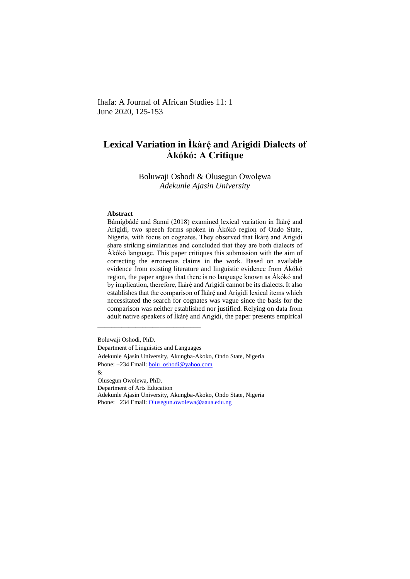Ihafa: A Journal of African Studies 11: 1 June 2020, 125-153

# **Lexical Variation in Ìkàré ̣and Arigidi Dialects of Àkókó: A Critique**

# Boluwaji Oshodi & Olusẹgun Owolẹwa *Adekunle Ajasin University*

#### **Abstract**

Bámigbádé and Sanni (2018) examined lexical variation in Ìkàré and Arigidi, two speech forms spoken in Àkókó region of Ondo State, Nigeria, with focus on cognates. They observed that Ikaré and Arigidi share striking similarities and concluded that they are both dialects of Àkókó language. This paper critiques this submission with the aim of correcting the erroneous claims in the work. Based on available evidence from existing literature and linguistic evidence from Àkókó region, the paper argues that there is no language known as Àkókó and by implication, therefore, Ikàré and Arigidi cannot be its dialects. It also establishes that the comparison of İkàré and Arigidi lexical items which necessitated the search for cognates was vague since the basis for the comparison was neither established nor justified. Relying on data from adult native speakers of Ìkàré and Arigidi, the paper presents empirical

Boluwaji Oshodi, PhD. Department of Linguistics and Languages Adekunle Ajasin University, Akungba-Akoko, Ondo State, Nigeria Phone: +234 Email: **bolu\_oshodi@yahoo.com** & Olusegun Owolewa, PhD. Department of Arts Education Adekunle Ajasin University, Akungba-Akoko, Ondo State, Nigeria Phone: +234 Email: [Olusegun.owolewa@aaua.edu.ng](mailto:Olusegun.owolewa@aaua.edu.ng)

\_\_\_\_\_\_\_\_\_\_\_\_\_\_\_\_\_\_\_\_\_\_\_\_\_\_\_\_\_\_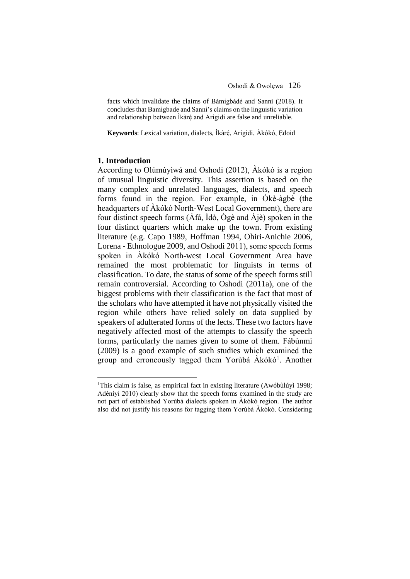facts which invalidate the claims of Bámigbádé and Sanni (2018). It concludes that Bamigbade and Sanni's claims on the linguistic variation and relationship between *lkaré* and Arigidi are false and unreliable.

**Keywords**: Lexical variation, dialects, Ìkàré, Arigidi, Àkókó, Edoid

# **1. Introduction**

-

According to Olúmúyìwá and Oshodi (2012), Àkókó is a region of unusual linguistic diversity. This assertion is based on the many complex and unrelated languages, dialects, and speech forms found in the region. For example, in Òkè-àgbè (the headquarters of Àkókó North-West Local Government), there are four distinct speech forms (Àfá, Ìdò, Ògè and Àjè) spoken in the four distinct quarters which make up the town. From existing literature (e.g. Capo 1989, Hoffman 1994, Ohiri-Anichie 2006, Lorena - Ethnologue 2009, and Oshodi 2011), some speech forms spoken in Àkókó North-west Local Government Area have remained the most problematic for linguists in terms of classification. To date, the status of some of the speech forms still remain controversial. According to Oshodi (2011a), one of the biggest problems with their classification is the fact that most of the scholars who have attempted it have not physically visited the region while others have relied solely on data supplied by speakers of adulterated forms of the lects. These two factors have negatively affected most of the attempts to classify the speech forms, particularly the names given to some of them. Fábùnmi (2009) is a good example of such studies which examined the group and erroneously tagged them Yorùbá Àkókó<sup>1</sup>. Another

<sup>&</sup>lt;sup>1</sup>This claim is false, as empirical fact in existing literature (Awóbùlúyì 1998; Adéníyi 2010) clearly show that the speech forms examined in the study are not part of established Yorùbá dialects spoken in Àkókó region. The author also did not justify his reasons for tagging them Yorùbá Àkókó. Considering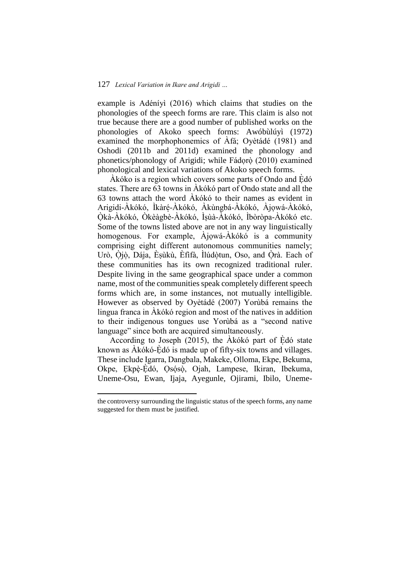example is Adéníyì (2016) which claims that studies on the phonologies of the speech forms are rare. This claim is also not true because there are a good number of published works on the phonologies of Akoko speech forms: Awóbùlúyì (1972) examined the morphophonemics of Àfá; Oyètádé (1981) and Oshodi (2011b and 2011d) examined the phonology and phonetics/phonology of Arigidi; while Fádorò (2010) examined phonological and lexical variations of Akoko speech forms.

 $\hat{A}$ kóko is a region which covers some parts of Ondo and  $\hat{E}$ dó states. There are 63 towns in Àkókó part of Ondo state and all the 63 towns attach the word Àkókó to their names as evident in Arigidi-Àkókó, Ìkàré-Àkókó, Àkùngbá-Àkókó, Àjowá-Àkókó, Ọ̀ḳ à-Àkókó, Òkèàgbè-Àkókó, Ìṣùà-Àkókó, Ìbòròpa-Àkókó etc. Some of the towns listed above are not in any way linguistically homogenous. For example, Àjọwá-Àkókó is a community comprising eight different autonomous communities namely; Urò, Ọiò, Dája, Èṣùkù, Èfìfà, Ìlúdòtun, Oso, and Ọ̀rà. Each of these communities has its own recognized traditional ruler. Despite living in the same geographical space under a common name, most of the communities speak completely different speech forms which are, in some instances, not mutually intelligible. However as observed by Oyètádé (2007) Yorùbá remains the lingua franca in Àkókó region and most of the natives in addition to their indigenous tongues use Yorùbá as a "second native language" since both are acquired simultaneously.

According to Joseph  $(2015)$ , the Akókó part of Édó state known as Àkókó-Èdó is made up of fifty-six towns and villages. These include Igarra, Dangbala, Makeke, Olloma, Ekpe, Bekuma, Okpe, Ekpè-Edó, Osósò, Ojah, Lampese, Ikiran, Ibekuma, Uneme-Osu, Ewan, Ijaja, Ayegunle, Ojirami, Ibilo, Uneme-

the controversy surrounding the linguistic status of the speech forms, any name suggested for them must be justified.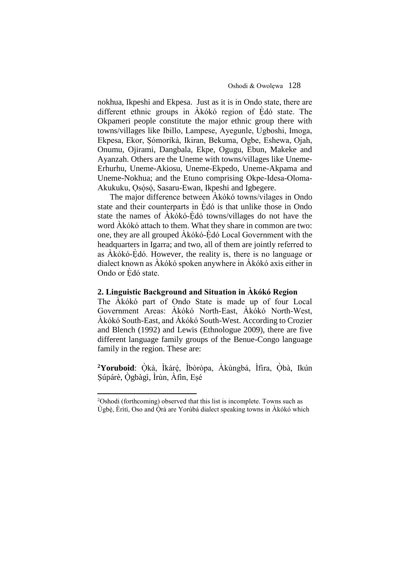nokhua, Ikpeshi and Ekpesa. Just as it is in Ondo state, there are different ethnic groups in  $\hat{A}k$ ókó region of  $\hat{E}d\hat{o}$  state. The Okpameri people constitute the major ethnic group there with towns/villages like Ibillo, Lampese, Ayegunle, Ugboshi, Imoga, Ekpesa, Ekor, Ṣómoríkà, Ikiran, Bekuma, Ogbe, Eshewa, Ojah, Onumu, Ojirami, Dangbala, Ekpe, Ogugu, Ebun, Makeke and Ayanzah. Others are the Uneme with towns/villages like Uneme-Erhurhu, Uneme-Akiosu, Uneme-Ekpedo, Uneme-Akpama and Uneme-Nokhua; and the Etuno comprising Okpe-Idesa-Oloma-Akukuku, Ọsósó, Sasaru-Ewan, Ikpeshi and Igbegere.

The major difference between Àkókó towns/vilages in Ondo state and their counterparts in Edó is that unlike those in Ondo state the names of  $\hat{A}k\hat{o}k\hat{o}$ -Ėd $\hat{o}$  towns/villages do not have the word Àkókó attach to them. What they share in common are two: one, they are all grouped Akókó-Edó Local Government with the headquarters in Igarra; and two, all of them are jointly referred to as Akókó-Édó. However, the reality is, there is no language or dialect known as Àkókó spoken anywhere in Àkókó axis either in Ondo or Edó state.

# **2. Linguistic Background and Situation in Àkókó Region**

The Àkókó part of Ondo State is made up of four Local Government Areas: Àkókó North-East, Àkókó North-West, Àkókó South-East, and Àkókó South-West. According to Crozier and Blench (1992) and Lewis (Ethnologue 2009), there are five different language family groups of the Benue-Congo language family in the region. These are:

**<sup>2</sup>Yoruboid**: Ọ̣̀kà, Ìkàré,̣ Ìbòròpa, Àkùngbá, Ìfira, Ọ̣̀bà, Ikún Ṣúpárè, Ọ̣̀gbàgì, Ìrùn, Àfìn, Eṣé

<sup>2</sup>Oshodi (forthcoming) observed that this list is incomplete. Towns such as Ùgbè, Èrìtì, Oso and Òrà are Yorùbá dialect speaking towns in Àkókó which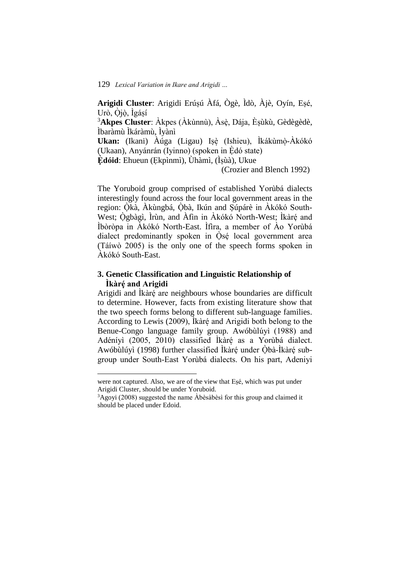**Arigidi Cluster**: Arigidi Erúṣú Àfá, Ògè, Ìdò, Àjè, Oyín, Eṣé, Urò, Ojò, İgásí

<sup>3</sup>Akpes Cluster: Àkpes (Àkùnnù), Àsè, Dája, Èsùkù, Gèdègèdè, Ìbaràmù Ìkáràmù, Ìyànì

Ukan: (Ikani) Àúga (Ligau) Iṣè (Ishieu), Ìkákùmò-Àkókó (Ukaan), Anyánrán (Iyinno) (spoken in Ėdó state)

**Ẹ̀dóid**: Ehueun (Ẹkpìnmì), Ùhàmì, (Ìṣùà), Ukue

(Crozier and Blench 1992)

The Yoruboid group comprised of established Yorùbá dialects interestingly found across the four local government areas in the region: Òkà, Àkùngbá, Òbà, Ikún and Súpárè in Àkókó South-West; Ògbàgì, Ìrùn, and Àfìn in Àkókó North-West; Ìkàré and Ìbòròpa in Àkókó North-East. Ìfìra, a member of Ào Yorùbá dialect predominantly spoken in Ọ̀sé local government area (Táíwò 2005) is the only one of the speech forms spoken in Àkókó South-East.

# **3. Genetic Classification and Linguistic Relationship of Ìkàré ̣and Arigidi**

Arigidi and Ikàré are neighbours whose boundaries are difficult to determine. However, facts from existing literature show that the two speech forms belong to different sub-language families. According to Lewis (2009), İkàré and Arigidi both belong to the Benue-Congo language family group. Awóbùlúyì (1988) and Adéníyì (2005, 2010) classified Ìkàré as a Yorùbá dialect. Awóbùlúyì (1998) further classified Ìkàré under Òbà-Ìkàré subgroup under South-East Yorùbá dialects. On his part, Adeniyi

were not captured. Also, we are of the view that Eṣé, which was put under Arigidi Cluster, should be under Yoruboid.

 $3A\gamma$ <sub>3</sub>Agoyi (2008) suggested the name  $\AA$ bèsàbèsì for this group and claimed it should be placed under Edoid.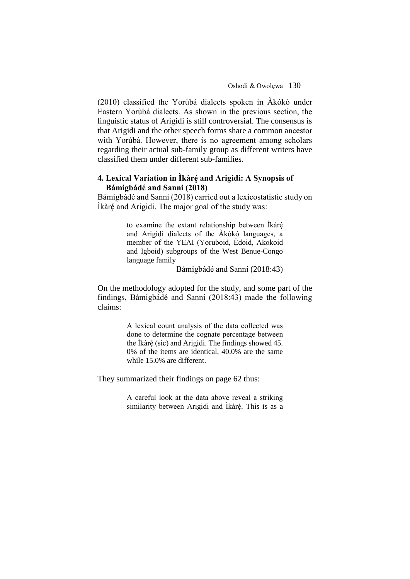(2010) classified the Yorùbá dialects spoken in Àkókó under Eastern Yorùbá dialects. As shown in the previous section, the linguistic status of Arigidi is still controversial. The consensus is that Arigidi and the other speech forms share a common ancestor with Yorùbá. However, there is no agreement among scholars regarding their actual sub-family group as different writers have classified them under different sub-families.

# **4. Lexical Variation in Ìkàré ̣and Arigidi: A Synopsis of Bámigbádé and Sanni (2018)**

Bámigbádé and Sanni (2018) carried out a lexicostatistic study on Ìkàré and Arigidi. The major goal of the study was:

> to examine the extant relationship between Ìkàré ̣ and Arigidi dialects of the Àkókó languages, a member of the YEAI (Yoruboid, Edoid, Akokoid and Igboid) subgroups of the West Benue-Congo language family

Bámigbádé and Sanni (2018:43)

On the methodology adopted for the study, and some part of the findings, Bámigbádé and Sanni (2018:43) made the following claims:

> A lexical count analysis of the data collected was done to determine the cognate percentage between the  $\hat{I}$ kàré (sic) and Arigidi. The findings showed 45. 0% of the items are identical, 40.0% are the same while 15.0% are different.

They summarized their findings on page 62 thus:

A careful look at the data above reveal a striking similarity between Arigidi and Ìkàré. This is as a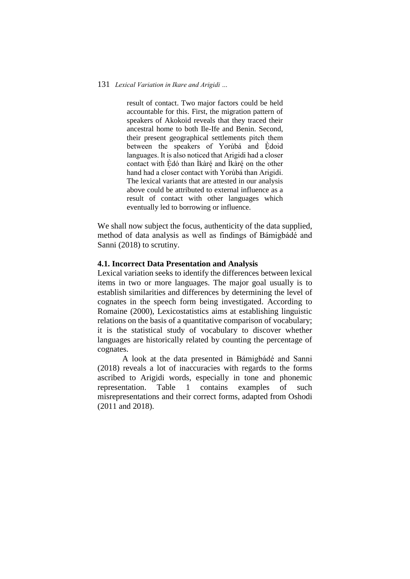result of contact. Two major factors could be held accountable for this. First, the migration pattern of speakers of Akokoid reveals that they traced their ancestral home to both Ile-Ife and Benin. Second, their present geographical settlements pitch them between the speakers of Yorùbá and Èdoid languages. It is also noticed that Arigidi had a closer contact with Edó than Ikàré and Ikàré on the other hand had a closer contact with Yorùbá than Arigidi. The lexical variants that are attested in our analysis above could be attributed to external influence as a result of contact with other languages which eventually led to borrowing or influence.

We shall now subject the focus, authenticity of the data supplied, method of data analysis as well as findings of Bámigbádé and Sanni (2018) to scrutiny.

### **4.1. Incorrect Data Presentation and Analysis**

Lexical variation seeks to identify the differences between lexical items in two or more languages. The major goal usually is to establish similarities and differences by determining the level of cognates in the speech form being investigated. According to Romaine (2000), Lexicostatistics aims at establishing linguistic relations on the basis of a quantitative comparison of vocabulary; it is the statistical study of vocabulary to discover whether languages are historically related by counting the percentage of cognates.

A look at the data presented in Bámigbádé and Sanni (2018) reveals a lot of inaccuracies with regards to the forms ascribed to Arigidi words, especially in tone and phonemic representation. Table 1 contains examples of such misrepresentations and their correct forms, adapted from Oshodi (2011 and 2018).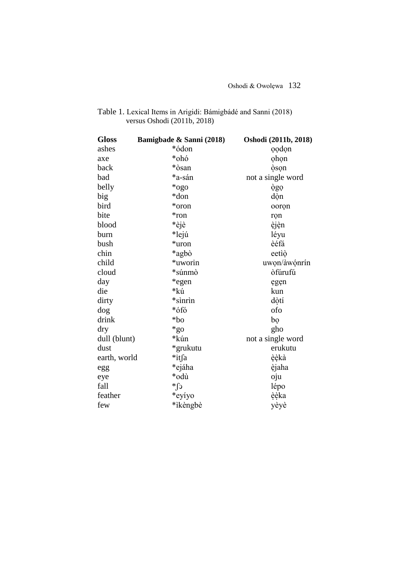| Table 1. Lexical Items in Arigidi: Bámigbádé and Sanni (2018) |
|---------------------------------------------------------------|
| versus Oshodi $(2011b, 2018)$                                 |

| <b>Gloss</b> | Bamigbade & Sanni (2018) | Oshodi (2011b, 2018) |  |
|--------------|--------------------------|----------------------|--|
| ashes        | *ódon                    | oodon                |  |
| axe          | *ohó                     | ohon                 |  |
| back         | *òsan                    | òson                 |  |
| bad          | *a-sán                   | not a single word    |  |
| belly        | *ogo                     | ògo                  |  |
| big          | *don                     | dòn                  |  |
| bird         | *oron                    | ooron                |  |
| bite         | *ron                     | ron                  |  |
| blood        | *èjè                     | èjèn                 |  |
| burn         | *lejú                    | léyu                 |  |
| bush         | *uron                    | èéfá                 |  |
| chin         | *agbò                    | eetiò                |  |
| child        | *uworin                  | uwon/àwónrín         |  |
| cloud        | *súnmò                   | ofúrufú              |  |
| day          | *egen                    | egen                 |  |
| die          | *kú                      | kun                  |  |
| dirty        | *sìnrìn                  | dòtí                 |  |
| dog          | *ófó                     | ofo                  |  |
| drink        | $*bo$                    | bọ                   |  |
| dry          | $*_{g0}$                 | gho                  |  |
| dull (blunt) | *kún                     | not a single word    |  |
| dust         | *grukutu                 | erukutu              |  |
| earth, world | *itfa                    | èèkà                 |  |
| egg          | *ejáha                   | èjaha                |  |
| eye          | *odù                     | oju                  |  |
| fall         | $c$ ]*                   | lépo                 |  |
| feather      | *eyíyo                   | èèka                 |  |
| few          | *ìkèngbè                 | yèyè                 |  |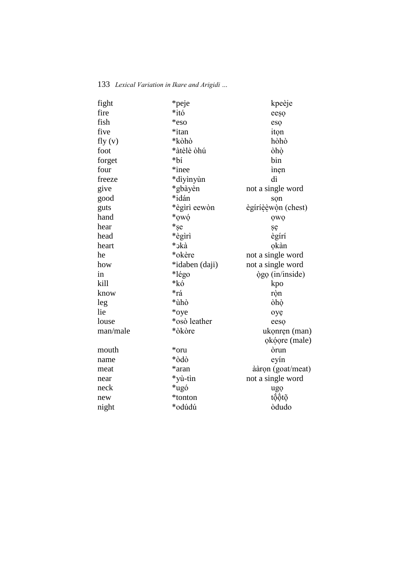| fight     | *peje          | kpeèje             |  |
|-----------|----------------|--------------------|--|
| fire      | *itó           | eeșo               |  |
| fish      | *eso           | eso                |  |
| five      | *itan          | iton               |  |
| fly $(v)$ | *kòhò          | hòhò               |  |
| foot      | *àtèlè òhú     | òhò                |  |
| forget    | *bí            | bin                |  |
| four      | *inee          | inen               |  |
| freeze    | *dìyìnyùn      | dì                 |  |
| give      | *gbàyèn        | not a single word  |  |
| good      | *idán          | son                |  |
| guts      | *ègirì eewòn   | ègíríèèwòn (chest) |  |
| hand      | *owó           | <b>OWO</b>         |  |
| hear      | $*_{se}$       | șę                 |  |
| head      | *ègìrì         | ègírí              |  |
| heart     | *okà           | okàn               |  |
| he        | *okère         | not a single word  |  |
| how       | *idaben (daji) | not a single word  |  |
| in        | *légo          | ògo (in/inside)    |  |
| kill      | *kó            | kpo                |  |
| know      | *rá            | ròn                |  |
| leg       | *ùhò           | òhò                |  |
| lie       | *oye           | oyę                |  |
| louse     | *osò leather   | eeso               |  |
| man/male  | *òkòre         | ukonren (man)      |  |
|           |                | okóore (male)      |  |
| mouth     | *oru           | òrun               |  |
| name      | *òdò           | eyín               |  |
| meat      | *aran          | ààrọn (goat/meat)  |  |
| near      | *yù-tìn        | not a single word  |  |
| neck      | *ugó           | ugo                |  |
| new       | *tonton        | tộộtộ              |  |
| night     | *odúdú         | òdudo              |  |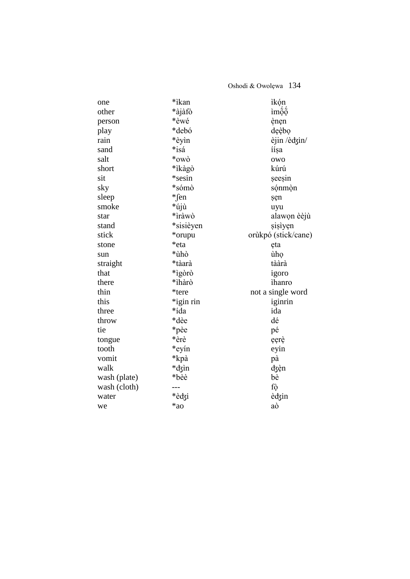Oshodi & Owolẹwa134

one \*ìkan ì k ó n ̣ other \*àjàfò ìmộộ ̣ person \*èwé è n ẹ n ľ play \*debó deèbo  $\overline{\phantom{a}}$ rain \*èyìn<br>sand \*isá èjin/èdzin/ sand \*isá ííṣa salt \*owò owo short \*ìkàgò kúrú si t \*sesin \*sesin seesin sky \*sómò s ó n m ò n l l sleep \*fen sen smoke \*újù uyu star \*ìràwò alawọn èèjù stand \*sisièyen sisi $\gamma$ en sisi stick \*orupu orùkpó (stick/cane)<br>stone \*eta eta stone \*eta eta sun \*ùhò ùhọ straight \*tàarà tààrà that \*ìgòrò igoro there \*ihàrò <sup>\*</sup>ìhàrò ìhanro thin \*tere not a single word<br>this \*igin rin for a single word<br>igin rin igin this  $*$ igin rin three \*ída ida throw \*dèe dé tie tie tot die stel begin die heerste geleë begin die heerste geleë begin het. Dit heerste geleë begin het on<br>Die begin het die heerste geleë begin het ook die begin het ook die begin het ook het ook het ook het ook het<br>D tongue \*èrè eerè tooth \*eyín eyin vomit \*kpà pà walk \* ʤìn ʤ è n ľ wash (plate) \*bèè bè wash (cloth) --fò ̣ water ʤ i è ʤin we \*ao \*ao aò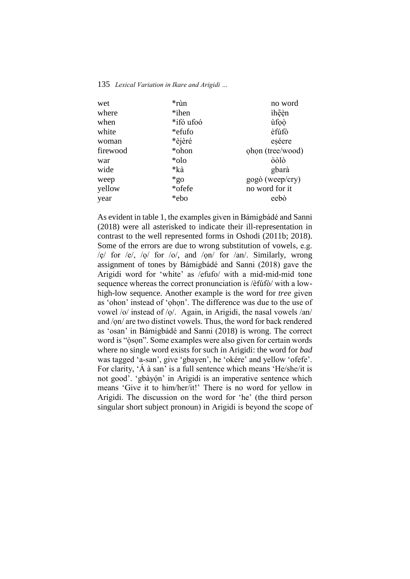| *rùn      | no word          |
|-----------|------------------|
| *ihen     | ihệèn            |
| *ifó ufoó | ùfoò             |
| *efufo    | èfúfò            |
| *èjèré    | eséere           |
| *ohon     | ohon (tree/wood) |
| *olo      | òòlò             |
| *kà       | gbarà            |
| $*_{g_0}$ | gogò (weep/cry)  |
| *ofefe    | no word for it   |
| *ebo      | eebò             |
|           |                  |

As evident in table 1, the examples given in Bámigbádé and Sanni (2018) were all asterisked to indicate their ill-representation in contrast to the well represented forms in Oshodi (2011b; 2018). Some of the errors are due to wrong substitution of vowels, e.g. /ẹ/ for /e/, /ọ/ for /o/, and /ọn/ for /an/. Similarly, wrong assignment of tones by Bámigbádé and Sanni (2018) gave the Arigidi word for 'white' as /efufo/ with a mid-mid-mid tone sequence whereas the correct pronunciation is /èfúfò/ with a lowhigh-low sequence. Another example is the word for *tree* given as 'ohon' instead of 'ọhọn'. The difference was due to the use of vowel /o/ instead of /o/. Again, in Arigidi, the nasal vowels /an/ and /ọn/ are two distinct vowels. Thus, the word for back rendered as 'osan' in Bámigbádé and Sanni (2018) is wrong. The correct word is "òson". Some examples were also given for certain words where no single word exists for such in Arigidi: the word for *bad* was tagged 'a-san', give 'gbayen', he 'okére' and yellow 'ofefe'. For clarity, 'Á à san' is a full sentence which means 'He/she/it is not good'. 'gbàyón' in Arigidi is an imperative sentence which means 'Give it to him/her/it!' There is no word for yellow in Arigidi. The discussion on the word for 'he' (the third person singular short subject pronoun) in Arigidi is beyond the scope of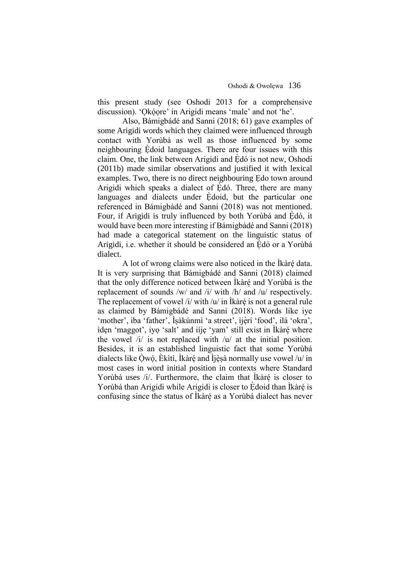this present study (see Oshodi 2013 for a comprehensive discussion). 'Okóore' in Arigidi means 'male' and not 'he'.

Also, Bámigbádé and Sanni (2018; 61) gave examples of some Arigidi words which they claimed were influenced through contact with Yorùbá as well as those influenced by some neighbouring Edoid languages. There are four issues with this claim. One, the link between Arigidi and Edó is not new, Oshodi (2011b) made similar observations and justified it with lexical examples. Two, there is no direct neighbouring Ẹdo town around Arigidi which speaks a dialect of Èdó. Three, there are many languages and dialects under Edoid, but the particular one referenced in Bámigbádé and Sanni (2018) was not mentioned. Four, if Arigidi is truly influenced by both Yorùbá and Ėdó, it would have been more interesting if Bámigbádé and Sanni (2018) had made a categorical statement on the linguistic status of Arigidi, i.e. whether it should be considered an Èdó or a Yorùbá dialect.

A lot of wrong claims were also noticed in the Ikàré data. It is very surprising that Bámigbádé and Sanni (2018) claimed that the only difference noticed between Ikàré and Yorùbá is the replacement of sounds /w/ and /i/ with /h/ and /u/ respectively. The replacement of vowel /i/ with / $u$ / in Ìkàré is not a general rule as claimed by Bámigbádé and Sanni (2018). Words like iye 'mother', iba 'father', İsakúnmì 'a street', ijerí 'food', ilá 'okra', ìdẹn 'maggot', iyọ 'salt' and iíjẹ 'yam' still exist in Ìkàré ̣where the vowel  $\frac{1}{i}$  is not replaced with  $\frac{1}{u}$  at the initial position. Besides, it is an established linguistic fact that some Yorùbá dialects like Òwó, Èkìtì, Ìkàré and Ìjèsà normally use vowel /u/ in most cases in word initial position in contexts where Standard Yorùbá uses /i/. Furthermore, the claim that Ìkàré is closer to Yorùbá than Arigidi while Arigidi is closer to Èdoid than Ìkàré is confusing since the status of Ìkàré as a Yorùbá dialect has never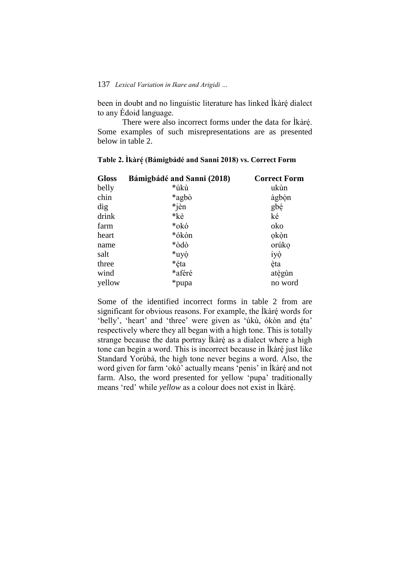been in doubt and no linguistic literature has linked Ikàré dialect to any Èdoid language.

There were also incorrect forms under the data for Ikàré. Some examples of such misrepresentations are as presented below in table 2.

| <b>Gloss</b> | Bámigbádé and Sanni (2018) | <b>Correct Form</b> |
|--------------|----------------------------|---------------------|
| belly        | *úkù                       | ukùn                |
| chin         | *agbò                      | àgbòn               |
| dig          | *jèn                       | gbé                 |
| drink        | *kè                        | ké                  |
| farm         | *okó                       | oko                 |
| heart        | *ókòn                      | okòn                |
| name         | *òdò                       | orúko               |
| salt         | *uyò                       | iyò                 |
| three        | *éta                       | èta                 |
| wind         | *aféré                     | atègun              |
| yellow       | *pupa                      | no word             |

**Table 2. Ìkàré ̣(Bámigbádé and Sanni 2018) vs. Correct Form** 

Some of the identified incorrect forms in table 2 from are significant for obvious reasons. For example, the Ikaré words for 'belly', 'heart' and 'three' were given as 'úkù, ókòn and éṭa' respectively where they all began with a high tone. This is totally strange because the data portray *Ikàré* as a dialect where a high tone can begin a word. This is incorrect because in Ìkàré ̣just like Standard Yorùbá, the high tone never begins a word. Also, the word given for farm 'okó' actually means 'penis' in Ikàré and not farm. Also, the word presented for yellow 'pupa' traditionally means 'red' while *yellow* as a colour does not exist in *Ikàré*.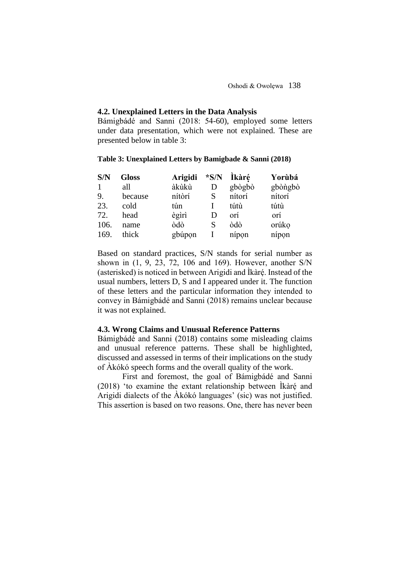### **4.2. Unexplained Letters in the Data Analysis**

Bámigbádé and Sanni (2018: 54-60), employed some letters under data presentation, which were not explained. These are presented below in table 3:

# **Table 3: Unexplained Letters by Bamigbade & Sanni (2018)**

| S/N          | <b>Gloss</b> | Arigidi | $*S/N$ | <b>İkàré</b> | Yorùbá  |
|--------------|--------------|---------|--------|--------------|---------|
| $\mathbf{1}$ | all          | àkùkù   | D      | gbògbò       | gbòngbò |
| 9.           | because      | nítòrí  | S      | nítorí       | nítorí  |
| 23.          | cold         | tún     |        | tútù         | tútù    |
| 72.          | head         | ègìrì   | D      | orí          | orí     |
| 106.         | name         | òdò     | S      | òdò          | orúko   |
| 169.         | thick        | gbúpon  |        | nípon        | nípon   |

Based on standard practices, S/N stands for serial number as shown in (1, 9, 23, 72, 106 and 169). However, another S/N (asterisked) is noticed in between Arigidi and İkàré. Instead of the usual numbers, letters D, S and I appeared under it. The function of these letters and the particular information they intended to convey in Bámigbádé and Sanni (2018) remains unclear because it was not explained.

### **4.3. Wrong Claims and Unusual Reference Patterns**

Bámigbádé and Sanni (2018) contains some misleading claims and unusual reference patterns. These shall be highlighted, discussed and assessed in terms of their implications on the study of Àkókó speech forms and the overall quality of the work.

First and foremost, the goal of Bámigbádé and Sanni  $(2018)$  'to examine the extant relationship between  $\hat{R}$  and Arigidi dialects of the Àkókó languages' (sic) was not justified. This assertion is based on two reasons. One, there has never been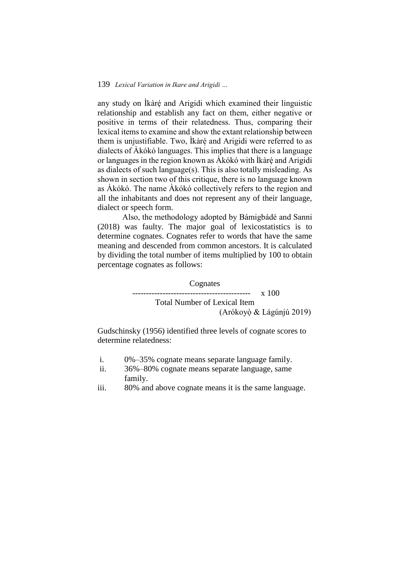any study on Ìkàré and Arigidi which examined their linguistic relationship and establish any fact on them, either negative or positive in terms of their relatedness. Thus, comparing their lexical items to examine and show the extant relationship between them is unjustifiable. Two, Ikaré and Arigidi were referred to as dialects of Àkókó languages. This implies that there is a language or languages in the region known as Akókó with Ìkàré and Arigidi as dialects of such language(s). This is also totally misleading. As shown in section two of this critique, there is no language known as Àkókó. The name Àkókó collectively refers to the region and all the inhabitants and does not represent any of their language, dialect or speech form.

Also, the methodology adopted by Bámigbádé and Sanni (2018) was faulty. The major goal of lexicostatistics is to determine cognates. Cognates refer to words that have the same meaning and descended from common ancestors. It is calculated by dividing the total number of items multiplied by 100 to obtain percentage cognates as follows:

> **Cognates**  $\overline{x}$  100 Total Number of Lexical Item (Arókoyò ̣& Lágúnjú 2019)

Gudschinsky (1956) identified three levels of cognate scores to determine relatedness:

- i. 0%–35% cognate means separate language family.
- ii. 36%–80% cognate means separate language, same family.
- iii. 80% and above cognate means it is the same language.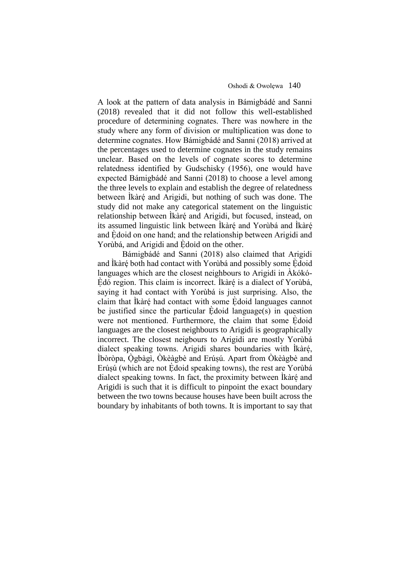A look at the pattern of data analysis in Bámigbádé and Sanni (2018) revealed that it did not follow this well-established procedure of determining cognates. There was nowhere in the study where any form of division or multiplication was done to determine cognates. How Bámigbádé and Sanni (2018) arrived at the percentages used to determine cognates in the study remains unclear. Based on the levels of cognate scores to determine relatedness identified by Gudschisky (1956), one would have expected Bámigbádé and Sanni (2018) to choose a level among the three levels to explain and establish the degree of relatedness between Ìkàré ̣and Arigidi, but nothing of such was done. The study did not make any categorical statement on the linguistic relationship between *Ikàré and Arigidi*, but focused, instead, on its assumed linguistic link between Ìkàré and Yorùbá and Ìkàré and Edoid on one hand; and the relationship between Arigidi and Yorùbá, and Arigidi and Èdoid on the other.

Bámigbádé and Sanni (2018) also claimed that Arigidi and Ìkàré both had contact with Yorùbá and possibly some Èdoid languages which are the closest neighbours to Arigidi in Àkókó- Èdó region. This claim is incorrect. Ìkàré is a dialect of Yorùbá, saying it had contact with Yorùbá is just surprising. Also, the claim that Ikàré had contact with some Edoid languages cannot be justified since the particular  $\dot{E}$ doid language(s) in question were not mentioned. Furthermore, the claim that some Edoid languages are the closest neighbours to Arigidi is geographically incorrect. The closest neigbours to Arigidi are mostly Yorùbá dialect speaking towns. Arigidi shares boundaries with Ikàré, Ìbòròpa, Ògbàgì, Òkèàgbè and Erúsú. Apart from Òkèàgbè and Erúsú (which are not Èdoid speaking towns), the rest are Yorùbá dialect speaking towns. In fact, the proximity between Ikaré and Arigidi is such that it is difficult to pinpoint the exact boundary between the two towns because houses have been built across the boundary by inhabitants of both towns. It is important to say that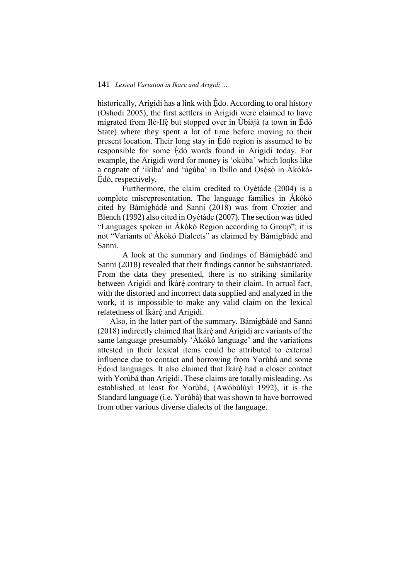historically, Arigidi has a link with Edo. According to oral history (Oshodi 2005), the first settlers in Arigidi were claimed to have migrated from Ilé-Ifè but stopped over in Ùbíàjà (a town in Èdó State) where they spent a lot of time before moving to their present location. Their long stay in Ėdó region is assumed to be responsible for some Edó words found in Arigidi today. For example, the Arigidi word for money is 'okùba' which looks like a cognate of 'ikìba' and 'úgùba' in Ibillo and Osósò in Àkókó-Edó, respectively.

Furthermore, the claim credited to Oyètáde (2004) is a complete misrepresentation. The language families in Àkókó cited by Bámigbádé and Sanni (2018) was from Crozier and Blench (1992) also cited in Oyètáde (2007). The section was titled "Languages spoken in Àkókó Region according to Group"; it is not "Variants of Àkókó Dialects" as claimed by Bámigbádé and Sanni.

A look at the summary and findings of Bámigbádé and Sanni (2018) revealed that their findings cannot be substantiated. From the data they presented, there is no striking similarity between Arigidi and Ikàré contrary to their claim. In actual fact, with the distorted and incorrect data supplied and analyzed in the work, it is impossible to make any valid claim on the lexical relatedness of Ìkàré and Arigidi.

Also, in the latter part of the summary, Bámigbádé and Sanni (2018) indirectly claimed that Ikàré and Arigidi are variants of the same language presumably 'Àkókó language' and the variations attested in their lexical items could be attributed to external influence due to contact and borrowing from Yorùbá and some Edoid languages. It also claimed that Ikàré had a closer contact with Yorùbá than Arigidi. These claims are totally misleading. As established at least for Yorùbá, (Awóbùlúyì 1992), it is the Standard language (i.e. Yorùbá) that was shown to have borrowed from other various diverse dialects of the language.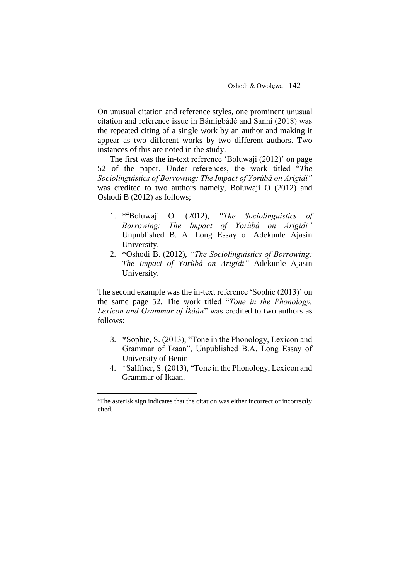On unusual citation and reference styles, one prominent unusual citation and reference issue in Bámigbádé and Sanni (2018) was the repeated citing of a single work by an author and making it appear as two different works by two different authors. Two instances of this are noted in the study.

The first was the in-text reference 'Boluwaji (2012)' on page 52 of the paper. Under references, the work titled "*The Sociolinguistics of Borrowing: The Impact of Yorùbá on Arigidi"* was credited to two authors namely, Boluwaji O (2012) and Oshodi B (2012) as follows;

- 1. \* Boluwaji O. (2012), <sup>4</sup>Boluwaji O. (2012), *"The Sociolinguistics of Borrowing: The Impact of Yorùbá on Arigidi"* Unpublished B. A. Long Essay of Adekunle Ajasin University.
- 2. \*Oshodi B. (2012), *"The Sociolinguistics of Borrowing: The Impact of Yorùbá on Arigidi"* Adekunle Ajasin University.

The second example was the in-text reference 'Sophie (2013)' on the same page 52. The work titled "*Tone in the Phonology, Lexicon and Grammar of Ìkààn*" was credited to two authors as follows:

- 3. \*Sophie, S. (2013), "Tone in the Phonology, Lexicon and Grammar of Ikaan", Unpublished B.A. Long Essay of University of Benin
- 4. \*Salffner, S. (2013), "Tone in the Phonology, Lexicon and Grammar of Ikaan.

<sup>&</sup>lt;sup>4</sup>The asterisk sign indicates that the citation was either incorrect or incorrectly cited.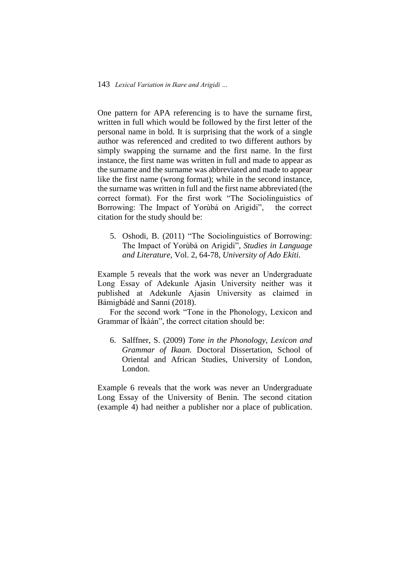One pattern for APA referencing is to have the surname first, written in full which would be followed by the first letter of the personal name in bold. It is surprising that the work of a single author was referenced and credited to two different authors by simply swapping the surname and the first name. In the first instance, the first name was written in full and made to appear as the surname and the surname was abbreviated and made to appear like the first name (wrong format); while in the second instance, the surname was written in full and the first name abbreviated (the correct format). For the first work "The Sociolinguistics of Borrowing: The Impact of Yorùbá on Arigidi", the correct citation for the study should be:

5. Oshodi, B. (2011) "The Sociolinguistics of Borrowing: The Impact of Yorùbá on Arigidi", *Studies in Language and Literature,* Vol. 2, 64-78, *University of Ado Ekiti.*

Example 5 reveals that the work was never an Undergraduate Long Essay of Adekunle Ajasin University neither was it published at Adekunle Ajasin University as claimed in Bámigbádé and Sanni (2018).

For the second work "Tone in the Phonology, Lexicon and Grammar of Ìkààn", the correct citation should be:

6. Salffner, S. (2009) *Tone in the Phonology, Lexicon and Grammar of Ikaan.* Doctoral Dissertation, School of Oriental and African Studies, University of London, London.

Example 6 reveals that the work was never an Undergraduate Long Essay of the University of Benin. The second citation (example 4) had neither a publisher nor a place of publication.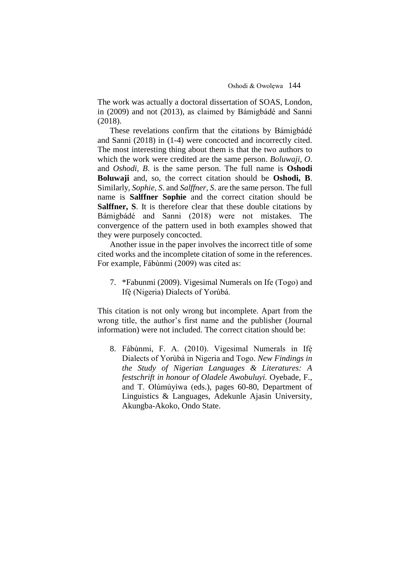The work was actually a doctoral dissertation of SOAS, London, in (2009) and not (2013), as claimed by Bámigbádé and Sanni (2018).

These revelations confirm that the citations by Bámigbádé and Sanni (2018) in (1-4) were concocted and incorrectly cited. The most interesting thing about them is that the two authors to which the work were credited are the same person. *Boluwaji, O*. and *Oshodi, B*. is the same person. The full name is **Oshodi Boluwaji** and, so, the correct citation should be **Oshodi, B**. Similarly, *Sophie, S*. and *Salffner, S*. are the same person. The full name is **Salffner Sophie** and the correct citation should be **Salffner, S**. It is therefore clear that these double citations by Bámigbádé and Sanni (2018) were not mistakes. The convergence of the pattern used in both examples showed that they were purposely concocted.

Another issue in the paper involves the incorrect title of some cited works and the incomplete citation of some in the references. For example, Fábùnmi (2009) was cited as:

7. \*Fabunmi (2009). Vigesimal Numerals on Ife (Togo) and Ifè (Nigeria) Dialects of Yorùbá.

This citation is not only wrong but incomplete. Apart from the wrong title, the author's first name and the publisher (Journal information) were not included. The correct citation should be:

8. Fábùnmi, F. A. (2010). Vigesimal Numerals in Ifè Dialects of Yorùbá in Nigeria and Togo. *New Findings in the Study of Nigerian Languages & Literatures: A festschrift in honour of Oladele Awobuluyi.* Oyebade, F., and T. Olúmúyìwa (eds.), pages 60-80, Department of Linguistics & Languages, Adekunle Ajasin University, Akungba-Akoko, Ondo State.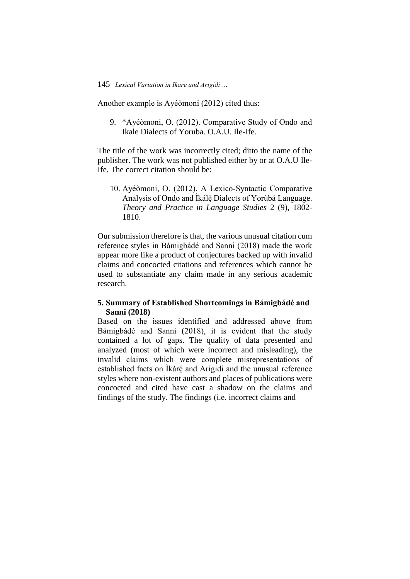Another example is Ayéòmoni (2012) cited thus:

9. \*Ayéòmoni, O. (2012). Comparative Study of Ondo and Ikale Dialects of Yoruba. O.A.U. Ile-Ife.

The title of the work was incorrectly cited; ditto the name of the publisher. The work was not published either by or at O.A.U Ile-Ife. The correct citation should be:

10. Ayéòmoni, O. (2012). A Lexico-Syntactic Comparative Analysis of Ondo and Ikálè Dialects of Yorùbá Language. *Theory and Practice in Language Studies* 2 (9), 1802- 1810.

Our submission therefore is that, the various unusual citation cum reference styles in Bámigbádé and Sanni (2018) made the work appear more like a product of conjectures backed up with invalid claims and concocted citations and references which cannot be used to substantiate any claim made in any serious academic research.

# **5. Summary of Established Shortcomings in Bámigbádé and Sanni (2018)**

Based on the issues identified and addressed above from Bámigbádé and Sanni (2018), it is evident that the study contained a lot of gaps. The quality of data presented and analyzed (most of which were incorrect and misleading), the invalid claims which were complete misrepresentations of established facts on Ìkàré and Arigidi and the unusual reference styles where non-existent authors and places of publications were concocted and cited have cast a shadow on the claims and findings of the study. The findings (i.e. incorrect claims and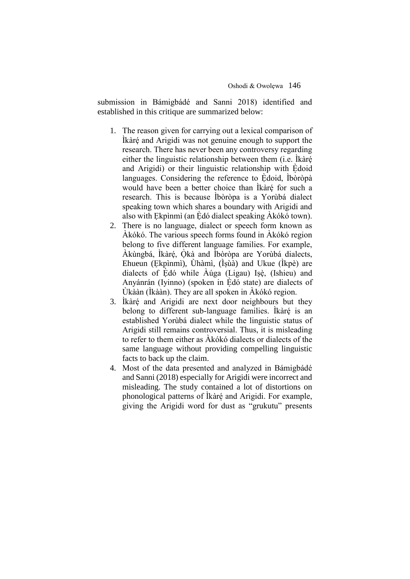submission in Bámigbádé and Sanni 2018) identified and established in this critique are summarized below:

- 1. The reason given for carrying out a lexical comparison of Ikàré and Arigidi was not genuine enough to support the research. There has never been any controversy regarding either the linguistic relationship between them (i.e. Ikàré and Arigidi) or their linguistic relationship with Edoid languages. Considering the reference to Edoid, Ibòròpà would have been a better choice than Ikàré for such a research. This is because Ìbòròpa is a Yorùbá dialect speaking town which shares a boundary with Arigidi and also with  $Ekpimn$  (an Èdó dialect speaking  $\hat{A}k$ ókó town).
- 2. There is no language, dialect or speech form known as Àkókó. The various speech forms found in Àkókó region belong to five different language families. For example, Àkùngbá, Ìkàré, Òkà and Ìbòròpa are Yorùbá dialects, Ehueun (Ẹkpìnmì), Ùhàmì, (Ìṣùà) and Ukue (Ìkpè) are dialects of Edó while Aúga (Ligau) Isè, (Ishieu) and Anyánrán (Iyinno) (spoken in Èdó state) are dialects of Ùkààn (Ìkààn). They are all spoken in Àkókó region.
- 3. Ikàré and Arigidi are next door neighbours but they belong to different sub-language families. Ikàré is an established Yorùbá dialect while the linguistic status of Arigidi still remains controversial. Thus, it is misleading to refer to them either as Àkókó dialects or dialects of the same language without providing compelling linguistic facts to back up the claim.
- 4. Most of the data presented and analyzed in Bámigbádé and Sanni (2018) especially for Arigidi were incorrect and misleading. The study contained a lot of distortions on phonological patterns of Ìkàré and Arigidi. For example, giving the Arigidi word for dust as "grukutu" presents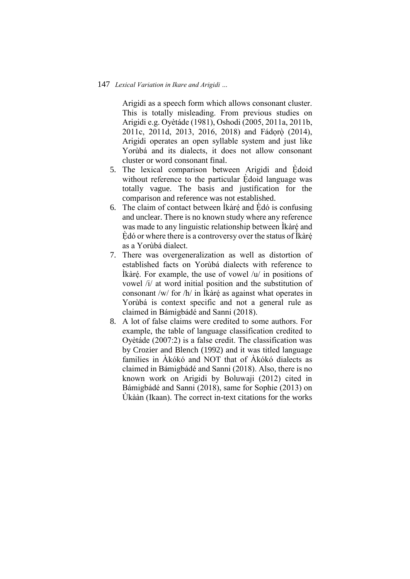Arigidi as a speech form which allows consonant cluster. This is totally misleading. From previous studies on Arigidi e.g. Oyètáde (1981), Oshodi (2005, 2011a, 2011b, 2011c, 2011d, 2013, 2016, 2018) and Fádorò (2014), Arigidi operates an open syllable system and just like Yorùbá and its dialects, it does not allow consonant cluster or word consonant final.

- 5. The lexical comparison between Arigidi and Edoid without reference to the particular Edoid language was totally vague. The basis and justification for the comparison and reference was not established.
- 6. The claim of contact between  $\hat{I}$  karé and  $\hat{E}$  do is confusing and unclear. There is no known study where any reference was made to any linguistic relationship between Ikàré and Edó or where there is a controversy over the status of Ikàré as a Yorùbá dialect.
- 7. There was overgeneralization as well as distortion of established facts on Yorùbá dialects with reference to Ikàré. For example, the use of vowel  $|u|$  in positions of vowel /i/ at word initial position and the substitution of consonant /w/ for /h/ in Ìkàré as against what operates in Yorùbá is context specific and not a general rule as claimed in Bámigbádé and Sanni (2018).
- 8. A lot of false claims were credited to some authors. For example, the table of language classification credited to Oyètáde (2007:2) is a false credit. The classification was by Crozier and Blench (1992) and it was titled language families in Àkókó and NOT that of Àkókó dialects as claimed in Bámigbádé and Sanni (2018). Also, there is no known work on Arigidi by Boluwaji (2012) cited in Bámigbádé and Sanni (2018), same for Sophie (2013) on Ùkààn (Ikaan). The correct in-text citations for the works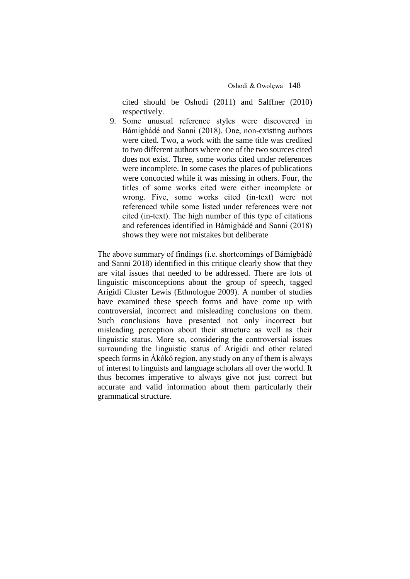cited should be Oshodi (2011) and Salffner (2010) respectively.

9. Some unusual reference styles were discovered in Bámigbádé and Sanni (2018). One, non-existing authors were cited. Two, a work with the same title was credited to two different authors where one of the two sources cited does not exist. Three, some works cited under references were incomplete. In some cases the places of publications were concocted while it was missing in others. Four, the titles of some works cited were either incomplete or wrong. Five, some works cited (in-text) were not referenced while some listed under references were not cited (in-text). The high number of this type of citations and references identified in Bámigbádé and Sanni (2018) shows they were not mistakes but deliberate

The above summary of findings (i.e. shortcomings of Bámigbádé and Sanni 2018) identified in this critique clearly show that they are vital issues that needed to be addressed. There are lots of linguistic misconceptions about the group of speech, tagged Arigidi Cluster Lewis (Ethnologue 2009). A number of studies have examined these speech forms and have come up with controversial, incorrect and misleading conclusions on them. Such conclusions have presented not only incorrect but misleading perception about their structure as well as their linguistic status. More so, considering the controversial issues surrounding the linguistic status of Arigidi and other related speech forms in Àkókó region, any study on any of them is always of interest to linguists and language scholars all over the world. It thus becomes imperative to always give not just correct but accurate and valid information about them particularly their grammatical structure.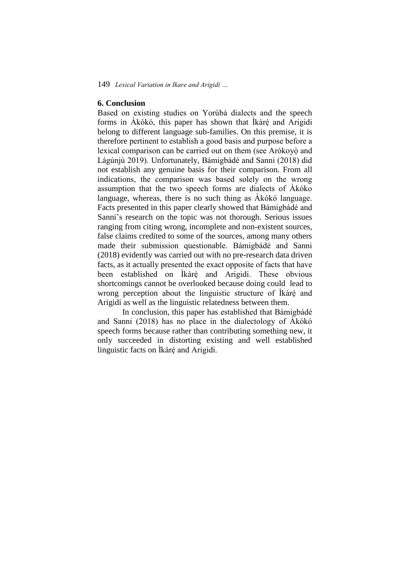### **6. Conclusion**

Based on existing studies on Yorùbá dialects and the speech forms in Àkókó, this paper has shown that Ìkàré and Arigidi belong to different language sub-families. On this premise, it is therefore pertinent to establish a good basis and purpose before a lexical comparison can be carried out on them (see Arókoyò and Lágúnjú 2019). Unfortunately, Bámigbádé and Sanni (2018) did not establish any genuine basis for their comparison. From all indications, the comparison was based solely on the wrong assumption that the two speech forms are dialects of Àkóko language, whereas, there is no such thing as Àkókó language. Facts presented in this paper clearly showed that Bámigbádé and Sanni's research on the topic was not thorough. Serious issues ranging from citing wrong, incomplete and non-existent sources, false claims credited to some of the sources, among many others made their submission questionable. Bámigbádé and Sanni (2018) evidently was carried out with no pre-research data driven facts, as it actually presented the exact opposite of facts that have been established on Ìkàré and Arigidi. These obvious shortcomings cannot be overlooked because doing could lead to wrong perception about the linguistic structure of Ikaré and Arigidi as well as the linguistic relatedness between them.

In conclusion, this paper has established that Bámigbádé and Sanni (2018) has no place in the dialectology of Àkókó speech forms because rather than contributing something new, it only succeeded in distorting existing and well established linguistic facts on Ìkàré and Arigidi.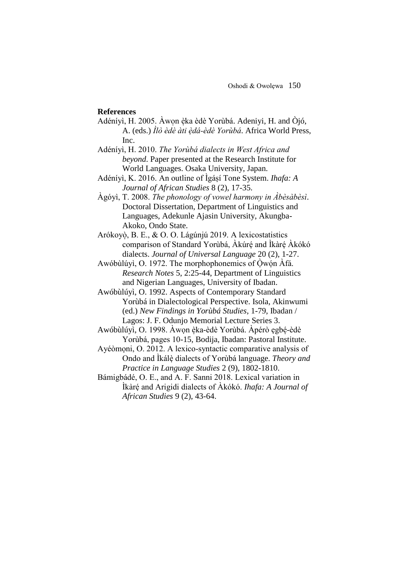#### **References**

- Adéníyì, H. 2005. Awon èka èdè Yorùbá. Adeniyi, H. and Òjó, A. (eds.) *Ìlò èdè àti èḍ á-èdè Yorùbá*. Africa World Press, Inc.
- Adéníyì, H. 2010. *The Yorùbá dialects in West Africa and beyond*. Paper presented at the Research Institute for World Languages. Osaka University, Japan.
- Adéníyì, K. 2016. An outline of Ìgáṣí Tone System. *Ihafa: A Journal of African Studies* 8 (2), 17-35.
- Àgóyì, T. 2008. *The phonology of vowel harmony in Àbèsàbèsì*. Doctoral Dissertation, Department of Linguistics and Languages, Adekunle Ajasin University, Akungba-Akoko, Ondo State.
- Arókoyò, B. E., & O. O. Lágúnjú 2019. A lexicostatistics comparison of Standard Yorùbá, Àkúré and Ìkàré Àkókó dialects. *Journal of Universal Language* 20 (2), 1-27.
- Awóbùlúyì, O. 1972. The morphophonemics of  $\dot{Q}$ wón Àfá. *Research Notes* 5, 2:25-44, Department of Linguistics and Nigerian Languages, University of Ibadan.
- Awóbùlúyì, O. 1992. Aspects of Contemporary Standard Yorùbá in Dialectological Perspective. Isola, Akinwumi (ed.) *New Findings in Yorùbá Studies*, 1-79, Ibadan / Lagos: J. F. Odunjo Memorial Lecture Series 3.
- Awóbùlúyì, O. 1998. Awọn èka-èdè Yorùbá. Apérò egbé-èdè Yorùbá, pages 10-15, Bodija, Ibadan: Pastoral Institute.
- Ayéòmọni, O. 2012. A lexico-syntactic comparative analysis of Ondo and Ìkálè ̣dialects of Yorùbá language. *Theory and Practice in Language Studies* 2 (9), 1802-1810.
- Bámigbádé, O. E., and A. F. Sanni 2018. Lexical variation in Ìkàré ̣and Arigidi dialects of Àkókó. *Ihafa: A Journal of African Studies* 9 (2), 43-64.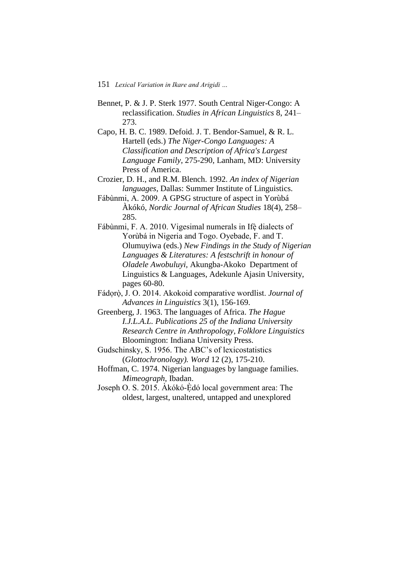- Bennet, P. & J. P. Sterk 1977. South Central Niger-Congo: A reclassification. *Studies in African Linguistics* 8, 241– 273.
- Capo, H. B. C. 1989. Defoid. J. T. Bendor-Samuel, & R. L. Hartell (eds.) *The Niger-Congo Languages: A Classification and Description of Africa's Largest Language Family*, 275-290, Lanham, MD: University Press of America.
- Crozier, D. H., and R.M. Blench. 1992. *An index of Nigerian languages*, Dallas: Summer Institute of Linguistics.
- Fábùnmi, A. 2009. A GPSG structure of aspect in Yorùbá Àkókó, *Nordic Journal of African Studies* 18(4), 258– 285.
- Fábùnmi, F. A. 2010. Vigesimal numerals in Ifè dialects of Yorùbá in Nigeria and Togo. Oyebade, F. and T. Olumuyiwa (eds.) *New Findings in the Study of Nigerian Languages & Literatures: A festschrift in honour of Oladele Awobuluyi,* Akungba-Akoko Department of Linguistics & Languages, Adekunle Ajasin University, pages 60-80.
- Fádorò, J. O. 2014. Akokoid comparative wordlist. *Journal of Advances in Linguistics* 3(1), 156-169.
- Greenberg, J. 1963. The languages of Africa. *The Hague I.J.L.A.L. Publications 25 of the Indiana University Research Centre in Anthropology, Folklore Linguistics* Bloomington: Indiana University Press.
- Gudschinsky, S. 1956. The ABC's of lexicostatistics (*Glottochronology). Word* 12 (2), 175-210.
- Hoffman, C. 1974. Nigerian languages by language families. *Mimeograph*, Ibadan.
- Joseph O. S. 2015. Àkókó-Èdó local government area: The oldest, largest, unaltered, untapped and unexplored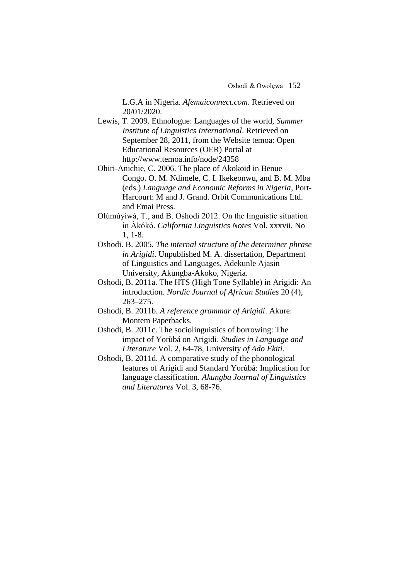L.G.A in Nigeria. *Afemaiconnect.com*. Retrieved on 20/01/2020.

- Lewis, T. 2009. Ethnologue: Languages of the world, *Summer Institute of Linguistics International*. Retrieved on September 28, 2011, from the Website temoa: Open Educational Resources (OER) Portal at http://www.temoa.info/node/24358
- Ohiri-Anichie, C. 2006. The place of Akokoid in Benue Congo. O. M. Ndimele, C. I. Ikekeonwu, and B. M. Mba (eds.) *Language and Economic Reforms in Nigeria,* Port-Harcourt: M and J. Grand. Orbit Communications Ltd. and Emai Press.

Olúmúyìwá, T., and B. Oshodi 2012. On the linguistic situation in Àkókó. *California Linguistics Notes* Vol. xxxvii, No 1, 1-8.

- Oshodi. B. 2005. *The internal structure of the determiner phrase in Arigidi*. Unpublished M. A. dissertation, Department of Linguistics and Languages, Adekunle Ajasin University, Akungba-Akoko, Nigeria.
- Oshodi, B. 2011a. The HTS (High Tone Syllable) in Arigidi: An introduction. *Nordic Journal of African Studies* 20 (4), 263–275.
- Oshodi, B. 2011b. *A reference grammar of Arigidi*. Akure: Montem Paperbacks.
- Oshodi, B. 2011c. The sociolinguistics of borrowing: The impact of Yorùbá on Arigidi. *Studies in Language and Literature* Vol. 2, 64-78*,* University *of Ado Ekiti.*
- Oshodi, B. 2011d. A comparative study of the phonological features of Arigidi and Standard Yorùbá: Implication for language classification. *Akungba Journal of Linguistics and Literatures* Vol. 3, 68-76.